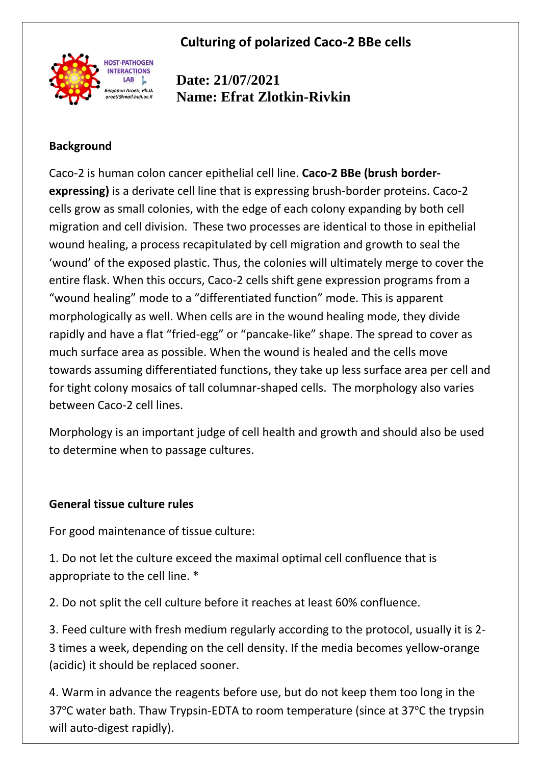**Culturing of polarized Caco-2 BBe cells**



**Date: 21/07/2021 Name: Efrat Zlotkin-Rivkin**

### **Background**

Caco-2 is human colon cancer epithelial cell line. **Caco-2 BBe (brush borderexpressing)** is a derivate cell line that is expressing brush-border proteins. Caco-2 cells grow as small colonies, with the edge of each colony expanding by both cell migration and cell division. These two processes are identical to those in epithelial wound healing, a process recapitulated by cell migration and growth to seal the 'wound' of the exposed plastic. Thus, the colonies will ultimately merge to cover the entire flask. When this occurs, Caco-2 cells shift gene expression programs from a "wound healing" mode to a "differentiated function" mode. This is apparent morphologically as well. When cells are in the wound healing mode, they divide rapidly and have a flat "fried-egg" or "pancake-like" shape. The spread to cover as much surface area as possible. When the wound is healed and the cells move towards assuming differentiated functions, they take up less surface area per cell and for tight colony mosaics of tall columnar-shaped cells. The morphology also varies between Caco-2 cell lines.

Morphology is an important judge of cell health and growth and should also be used to determine when to passage cultures.

#### **General tissue culture rules**

For good maintenance of tissue culture:

1. Do not let the culture exceed the maximal optimal cell confluence that is appropriate to the cell line. \*

2. Do not split the cell culture before it reaches at least 60% confluence.

3. Feed culture with fresh medium regularly according to the protocol, usually it is 2- 3 times a week, depending on the cell density. If the media becomes yellow-orange (acidic) it should be replaced sooner.

4. Warm in advance the reagents before use, but do not keep them too long in the 37 $\degree$ C water bath. Thaw Trypsin-EDTA to room temperature (since at 37 $\degree$ C the trypsin will auto-digest rapidly).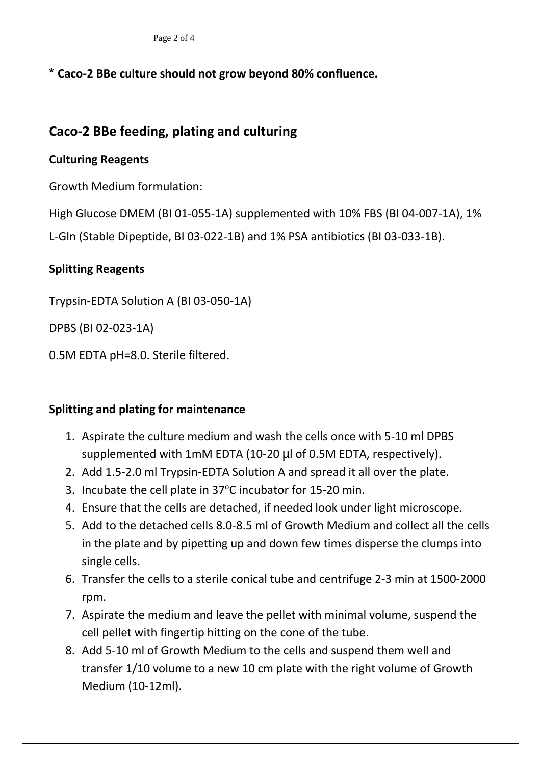Page 2 of 4

**\* Caco-2 BBe culture should not grow beyond 80% confluence.**

# **Caco-2 BBe feeding, plating and culturing**

### **Culturing Reagents**

Growth Medium formulation:

High Glucose DMEM (BI 01-055-1A) supplemented with 10% FBS (BI 04-007-1A), 1% L-Gln (Stable Dipeptide, BI 03-022-1B) and 1% PSA antibiotics (BI 03-033-1B).

# **Splitting Reagents**

Trypsin-EDTA Solution A (BI 03-050-1A)

DPBS (BI 02-023-1A)

0.5M EDTA pH=8.0. Sterile filtered.

# **Splitting and plating for maintenance**

- 1. Aspirate the culture medium and wash the cells once with 5-10 ml DPBS supplemented with 1mM EDTA (10-20 µl of 0.5M EDTA, respectively).
- 2. Add 1.5-2.0 ml Trypsin-EDTA Solution A and spread it all over the plate.
- 3. Incubate the cell plate in 37°C incubator for 15-20 min.
- 4. Ensure that the cells are detached, if needed look under light microscope.
- 5. Add to the detached cells 8.0-8.5 ml of Growth Medium and collect all the cells in the plate and by pipetting up and down few times disperse the clumps into single cells.
- 6. Transfer the cells to a sterile conical tube and centrifuge 2-3 min at 1500-2000 rpm.
- 7. Aspirate the medium and leave the pellet with minimal volume, suspend the cell pellet with fingertip hitting on the cone of the tube.
- 8. Add 5-10 ml of Growth Medium to the cells and suspend them well and transfer 1/10 volume to a new 10 cm plate with the right volume of Growth Medium (10-12ml).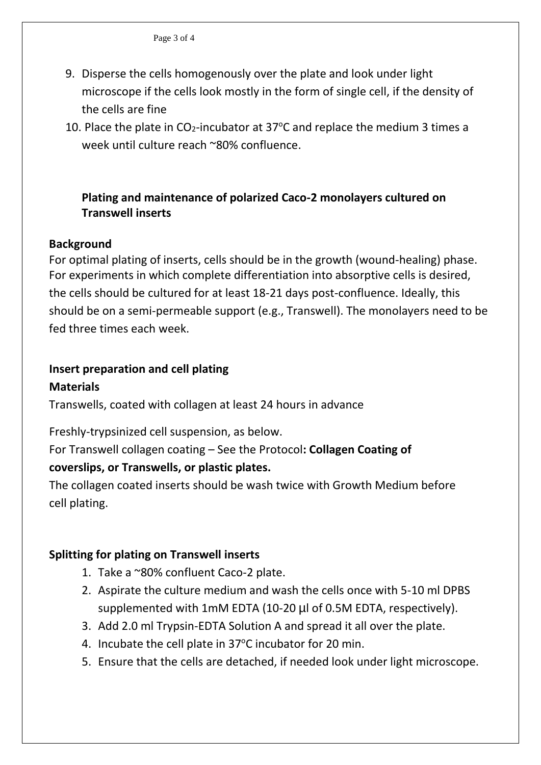- 9. Disperse the cells homogenously over the plate and look under light microscope if the cells look mostly in the form of single cell, if the density of the cells are fine
- 10. Place the plate in  $CO_2$ -incubator at 37 $\degree$ C and replace the medium 3 times a week until culture reach ~80% confluence.

### **Plating and maintenance of polarized Caco-2 monolayers cultured on Transwell inserts**

#### **Background**

For optimal plating of inserts, cells should be in the growth (wound-healing) phase. For experiments in which complete differentiation into absorptive cells is desired, the cells should be cultured for at least 18-21 days post-confluence. Ideally, this should be on a semi-permeable support (e.g., Transwell). The monolayers need to be fed three times each week.

# **Insert preparation and cell plating**

### **Materials**

Transwells, coated with collagen at least 24 hours in advance

Freshly-trypsinized cell suspension, as below.

For Transwell collagen coating – See the Protocol**: Collagen Coating of** 

# **coverslips, or Transwells, or plastic plates.**

The collagen coated inserts should be wash twice with Growth Medium before cell plating.

# **Splitting for plating on Transwell inserts**

- 1. Take a ~80% confluent Caco-2 plate.
- 2. Aspirate the culture medium and wash the cells once with 5-10 ml DPBS supplemented with 1mM EDTA (10-20 µl of 0.5M EDTA, respectively).
- 3. Add 2.0 ml Trypsin-EDTA Solution A and spread it all over the plate.
- 4. Incubate the cell plate in 37°C incubator for 20 min.
- 5. Ensure that the cells are detached, if needed look under light microscope.